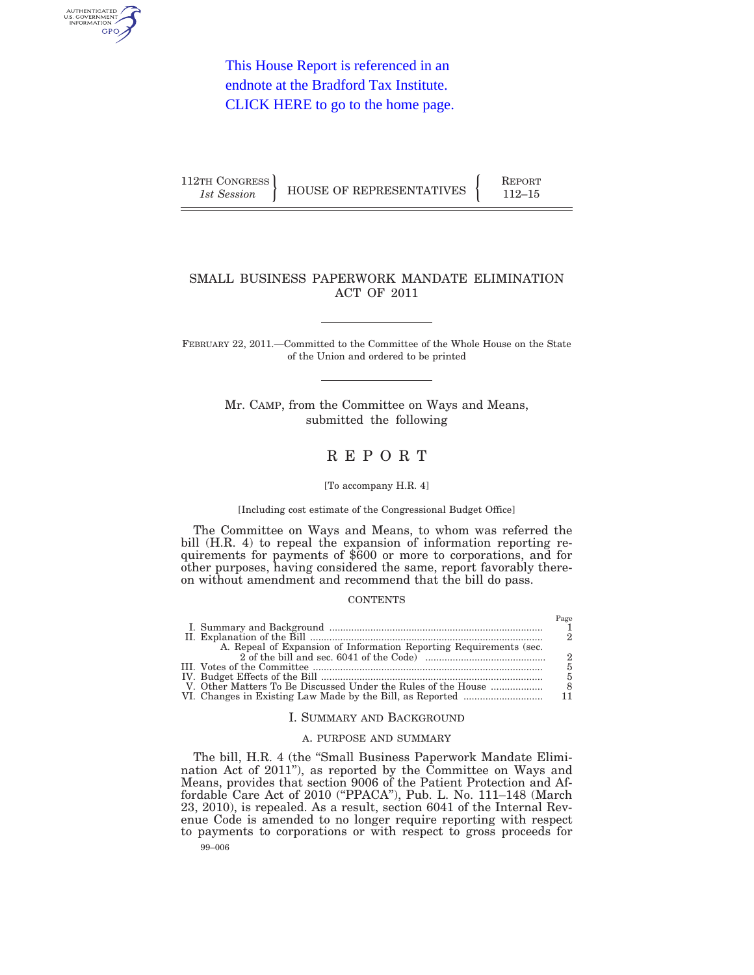

This House Report is referenced in an endnote at the Bradford Tax Institute. [CLICK HERE to go to the home page.](http://bradfordtaxinstitute.com/index1.aspx)

| 112TH CONGRESS |                          | <b>REPORT</b> |
|----------------|--------------------------|---------------|
| 1st Session    | HOUSE OF REPRESENTATIVES | 112–15        |

# SMALL BUSINESS PAPERWORK MANDATE ELIMINATION ACT OF 2011

FEBRUARY 22, 2011.—Committed to the Committee of the Whole House on the State of the Union and ordered to be printed

> Mr. CAMP, from the Committee on Ways and Means, submitted the following

# R E P O R T

#### [To accompany H.R. 4]

#### [Including cost estimate of the Congressional Budget Office]

The Committee on Ways and Means, to whom was referred the bill (H.R. 4) to repeal the expansion of information reporting requirements for payments of \$600 or more to corporations, and for other purposes, having considered the same, report favorably thereon without amendment and recommend that the bill do pass.

#### **CONTENTS**

| A. Repeal of Expansion of Information Reporting Requirements (sec. |  |
|--------------------------------------------------------------------|--|
|                                                                    |  |
|                                                                    |  |
|                                                                    |  |
| V. Other Matters To Be Discussed Under the Rules of the House      |  |
|                                                                    |  |

#### I. SUMMARY AND BACKGROUND

### A. PURPOSE AND SUMMARY

99–006 The bill, H.R. 4 (the ''Small Business Paperwork Mandate Elimination Act of 2011''), as reported by the Committee on Ways and Means, provides that section 9006 of the Patient Protection and Affordable Care Act of 2010 (''PPACA''), Pub. L. No. 111–148 (March 23, 2010), is repealed. As a result, section 6041 of the Internal Revenue Code is amended to no longer require reporting with respect to payments to corporations or with respect to gross proceeds for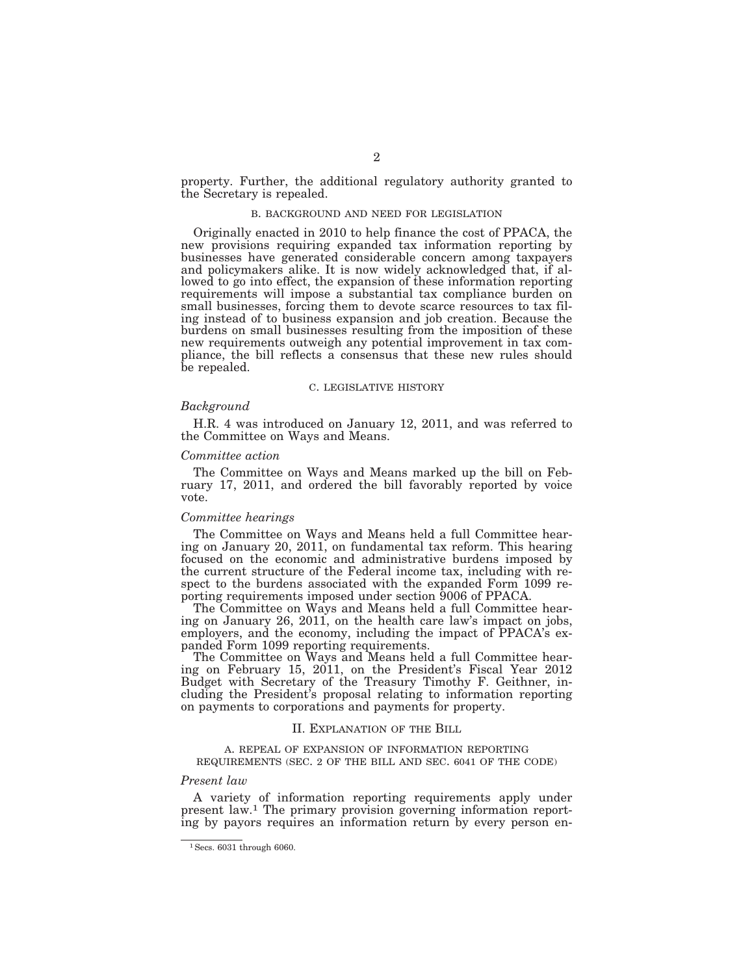property. Further, the additional regulatory authority granted to the Secretary is repealed.

#### B. BACKGROUND AND NEED FOR LEGISLATION

Originally enacted in 2010 to help finance the cost of PPACA, the new provisions requiring expanded tax information reporting by businesses have generated considerable concern among taxpayers and policymakers alike. It is now widely acknowledged that, if allowed to go into effect, the expansion of these information reporting requirements will impose a substantial tax compliance burden on small businesses, forcing them to devote scarce resources to tax filing instead of to business expansion and job creation. Because the burdens on small businesses resulting from the imposition of these new requirements outweigh any potential improvement in tax compliance, the bill reflects a consensus that these new rules should be repealed.

### C. LEGISLATIVE HISTORY

### *Background*

H.R. 4 was introduced on January 12, 2011, and was referred to the Committee on Ways and Means.

### *Committee action*

The Committee on Ways and Means marked up the bill on February 17, 2011, and ordered the bill favorably reported by voice vote.

### *Committee hearings*

The Committee on Ways and Means held a full Committee hearing on January 20, 2011, on fundamental tax reform. This hearing focused on the economic and administrative burdens imposed by the current structure of the Federal income tax, including with respect to the burdens associated with the expanded Form 1099 reporting requirements imposed under section 9006 of PPACA.

The Committee on Ways and Means held a full Committee hearing on January 26, 2011, on the health care law's impact on jobs, employers, and the economy, including the impact of PPACA's expanded Form 1099 reporting requirements.

The Committee on Ways and Means held a full Committee hearing on February 15, 2011, on the President's Fiscal Year 2012 Budget with Secretary of the Treasury Timothy F. Geithner, including the President's proposal relating to information reporting on payments to corporations and payments for property.

#### II. EXPLANATION OF THE BILL

#### A. REPEAL OF EXPANSION OF INFORMATION REPORTING REQUIREMENTS (SEC. 2 OF THE BILL AND SEC. 6041 OF THE CODE)

### *Present law*

A variety of information reporting requirements apply under present law.1 The primary provision governing information reporting by payors requires an information return by every person en-

<sup>1</sup>Secs. 6031 through 6060.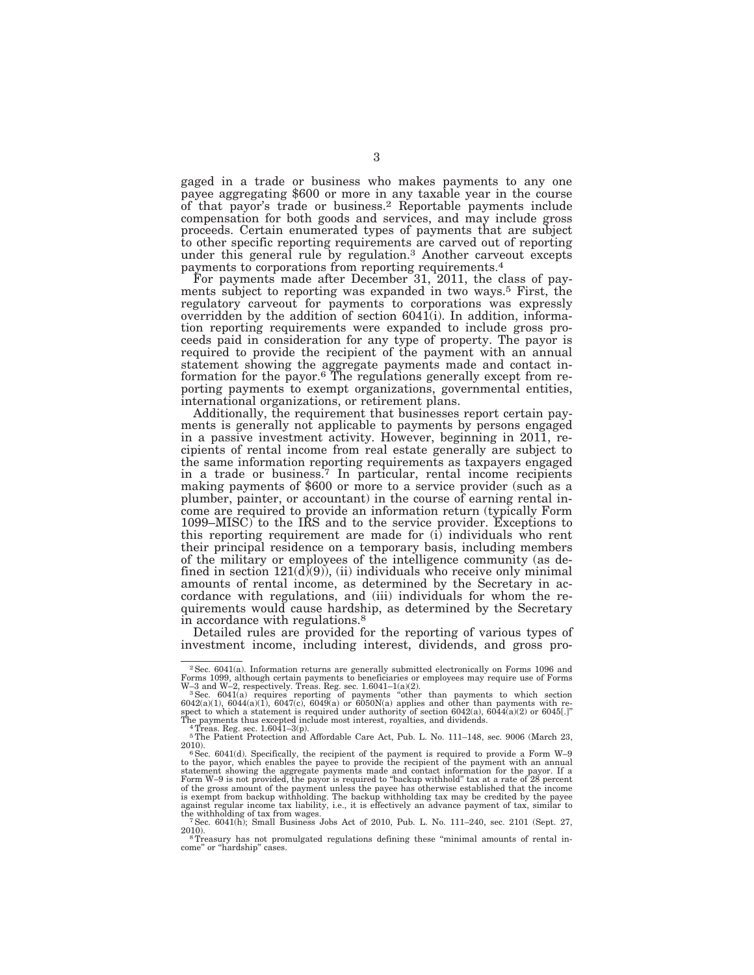gaged in a trade or business who makes payments to any one payee aggregating \$600 or more in any taxable year in the course of that payor's trade or business.2 Reportable payments include compensation for both goods and services, and may include gross proceeds. Certain enumerated types of payments that are subject to other specific reporting requirements are carved out of reporting under this general rule by regulation.3 Another carveout excepts payments to corporations from reporting requirements.4

For payments made after December 31, 2011, the class of payments subject to reporting was expanded in two ways.5 First, the regulatory carveout for payments to corporations was expressly overridden by the addition of section 6041(i). In addition, information reporting requirements were expanded to include gross proceeds paid in consideration for any type of property. The payor is required to provide the recipient of the payment with an annual statement showing the aggregate payments made and contact information for the payor.6 The regulations generally except from reporting payments to exempt organizations, governmental entities, international organizations, or retirement plans.

Additionally, the requirement that businesses report certain payments is generally not applicable to payments by persons engaged in a passive investment activity. However, beginning in 2011, recipients of rental income from real estate generally are subject to the same information reporting requirements as taxpayers engaged in a trade or business.7 In particular, rental income recipients making payments of \$600 or more to a service provider (such as a plumber, painter, or accountant) in the course of earning rental income are required to provide an information return (typically Form 1099–MISC) to the IRS and to the service provider. Exceptions to this reporting requirement are made for (i) individuals who rent their principal residence on a temporary basis, including members of the military or employees of the intelligence community (as defined in section  $121(d)(9)$ , (ii) individuals who receive only minimal amounts of rental income, as determined by the Secretary in accordance with regulations, and (iii) individuals for whom the requirements would cause hardship, as determined by the Secretary in accordance with regulations.8

Detailed rules are provided for the reporting of various types of investment income, including interest, dividends, and gross pro-

<sup>2</sup>Sec. 6041(a). Information returns are generally submitted electronically on Forms 1096 and

Forms 1099, although certain payments to beneficiaries or employees may require use of Forms W-2, respectively. Treas. Reg. sec. 6041(a) requires reporting of payments "other than payments to which section 6042(a)(1), 604

<sup>5</sup>The Patient Protection and Affordable Care Act, Pub. L. No. 111–148, sec. 9006 (March 23, 2010).

<sup>2010).&</sup>lt;br>  $6 \text{Sec. } 6041 \text{(d)}$ . Specifically, the recipient of the payment is required to provide a Form W-9<br>
to the payor, which enables the payee to provide the recipient of the payment with an annual<br>
statement showing th Form W–9 is not provided, the payor is required to "backup withhold" tax at a rate of 28 percent of the gross amount of the payment unless the payee has otherwise established that the income<br>is exempt from backup withholding. The backup withholding tax may be credited by the payee<br>against regular income tax liability,

<sup>2010).&</sup>lt;br><sup>8</sup>Treasury has not promulgated regulations defining these "minimal amounts of rental in-

come'' or ''hardship'' cases.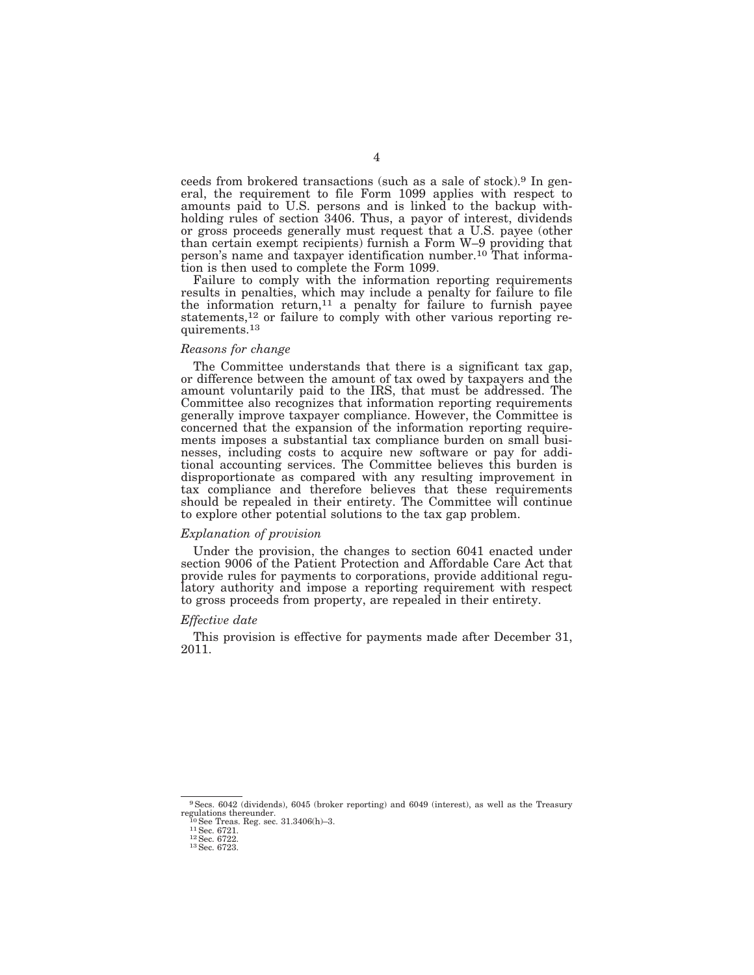ceeds from brokered transactions (such as a sale of stock).9 In general, the requirement to file Form 1099 applies with respect to amounts paid to U.S. persons and is linked to the backup withholding rules of section 3406. Thus, a payor of interest, dividends or gross proceeds generally must request that a U.S. payee (other than certain exempt recipients) furnish a Form W–9 providing that person's name and taxpayer identification number.<sup>10</sup> That information is then used to complete the Form 1099.

Failure to comply with the information reporting requirements results in penalties, which may include a penalty for failure to file the information return,11 a penalty for failure to furnish payee statements,<sup>12</sup> or failure to comply with other various reporting requirements.13

#### *Reasons for change*

The Committee understands that there is a significant tax gap, or difference between the amount of tax owed by taxpayers and the amount voluntarily paid to the IRS, that must be addressed. The Committee also recognizes that information reporting requirements generally improve taxpayer compliance. However, the Committee is concerned that the expansion of the information reporting requirements imposes a substantial tax compliance burden on small businesses, including costs to acquire new software or pay for additional accounting services. The Committee believes this burden is disproportionate as compared with any resulting improvement in tax compliance and therefore believes that these requirements should be repealed in their entirety. The Committee will continue to explore other potential solutions to the tax gap problem.

### *Explanation of provision*

Under the provision, the changes to section 6041 enacted under section 9006 of the Patient Protection and Affordable Care Act that provide rules for payments to corporations, provide additional regulatory authority and impose a reporting requirement with respect to gross proceeds from property, are repealed in their entirety.

#### *Effective date*

This provision is effective for payments made after December 31, 2011.

9Secs. 6042 (dividends), 6045 (broker reporting) and 6049 (interest), as well as the Treasury regulations thereunder.<br>
<sup>10</sup> See Treas. Reg. sec. 31.3406(h)–3.<br>
<sup>11</sup> Sec. 6721.<br>
<sup>12</sup> Sec. 6722.<br>
<sup>13</sup> Sec. 6723.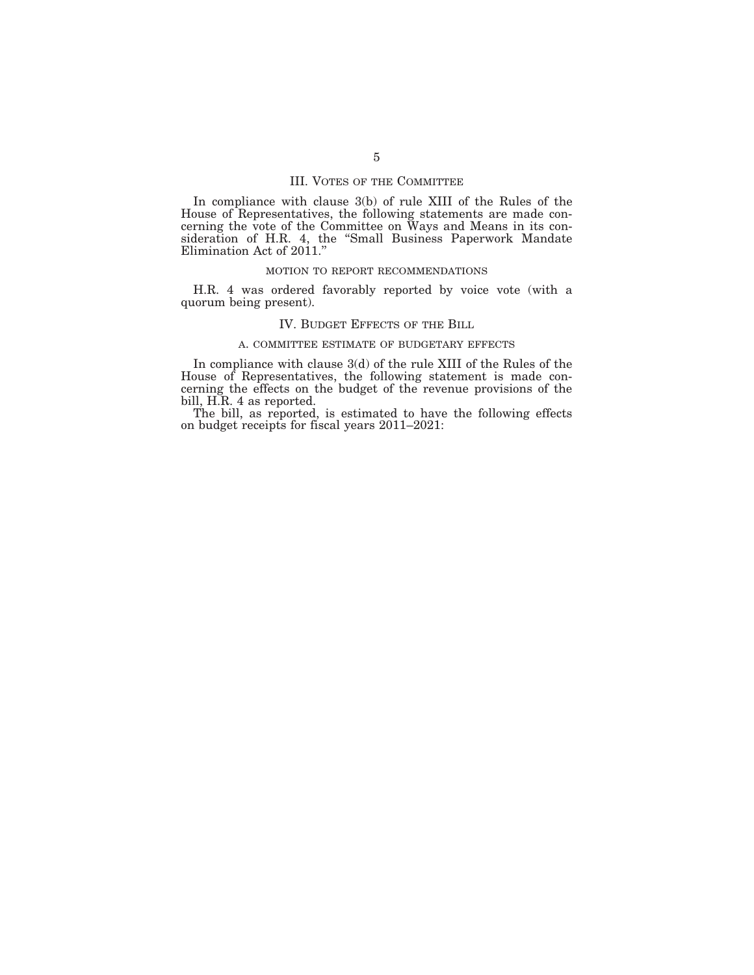### III. VOTES OF THE COMMITTEE

In compliance with clause 3(b) of rule XIII of the Rules of the House of Representatives, the following statements are made concerning the vote of the Committee on Ways and Means in its consideration of H.R. 4, the "Small Business Paperwork Mandate Elimination Act of  $2011$ ."

### MOTION TO REPORT RECOMMENDATIONS

H.R. 4 was ordered favorably reported by voice vote (with a quorum being present).

### IV. BUDGET EFFECTS OF THE BILL

#### A. COMMITTEE ESTIMATE OF BUDGETARY EFFECTS

In compliance with clause 3(d) of the rule XIII of the Rules of the House of Representatives, the following statement is made concerning the effects on the budget of the revenue provisions of the bill, H.R. 4 as reported.

The bill, as reported, is estimated to have the following effects on budget receipts for fiscal years 2011–2021: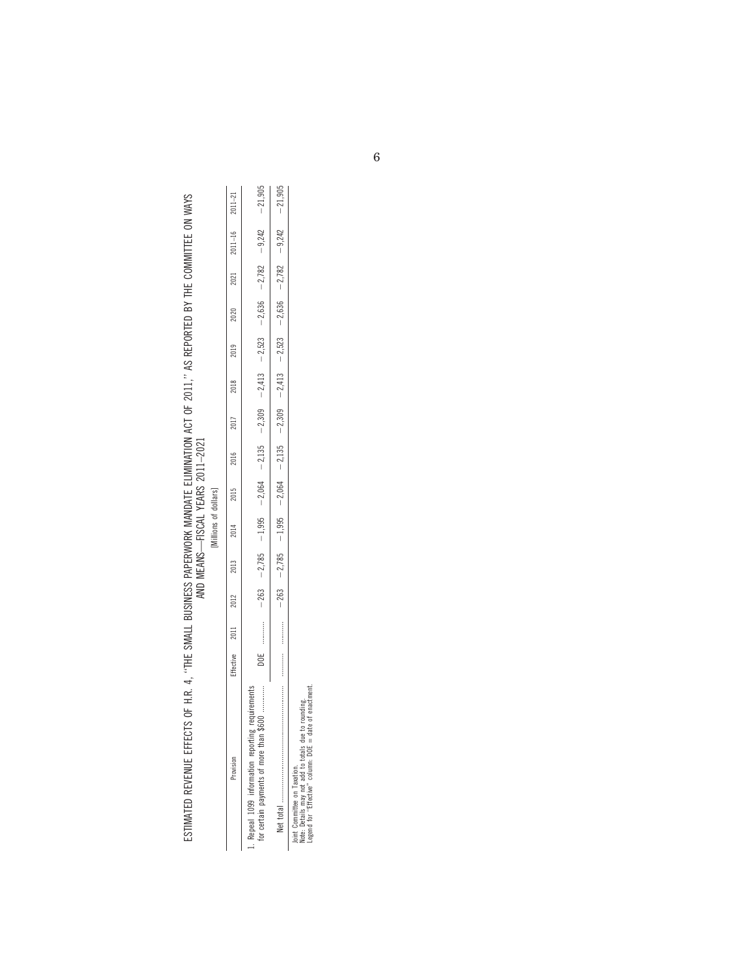| 2014 2015 | [Millions of dollars] | AND MEANS-FISCAL YEARS 2011-2021<br>2012 2013 | ESTIMATED REVENUE EFFECTS OF H.R. 4, "THE SWALL BUSINESS PAPERWORK MANDATE ELIMINATION ACT OF 2011," AS REPORTED BY THE COMMITTEE ON WAYS<br>Effective 2011<br>and the contribution of the contribution |
|-----------|-----------------------|-----------------------------------------------|---------------------------------------------------------------------------------------------------------------------------------------------------------------------------------------------------------|
|           |                       |                                               |                                                                                                                                                                                                         |

| n                                                                             |
|-------------------------------------------------------------------------------|
| ı                                                                             |
| o<br>ı                                                                        |
| ∽<br>¢<br>֠                                                                   |
| $\frac{1}{2}$<br>ł<br>٠.<br>∸<br>-<br>-<br>٠,<br>Ž<br>۰<br>i.<br>÷<br>١<br>L. |
|                                                                               |
|                                                                               |

| rovision                                                                       | <b>ffective</b> | 2011                  | 2012   | 2013     | 2014     | 2015     | 2016     | 2017     | 2018     | 2019     | 2020     | 2021     | $2011 - 16$ | $2011 - 21$ |
|--------------------------------------------------------------------------------|-----------------|-----------------------|--------|----------|----------|----------|----------|----------|----------|----------|----------|----------|-------------|-------------|
| <br>600<br>r certain payments of more than<br>Repeal 1099 information reportin | ă               |                       | $-263$ | $-2,785$ | $-1,995$ | $-2,064$ | $-2,135$ | $-2,309$ | $-2,413$ | $-2,523$ | $-2,636$ | $-2,782$ | $-9,242$    | $-21,905$   |
| total                                                                          |                 | :<br>:<br>:<br>:<br>: | $-263$ | $-2,785$ | $-1,995$ | $-2,064$ | $-2,135$ | $-2,309$ | $-2,413$ | $-2,523$ | $-2,636$ | $-2,782$ | $-9,242$    | $-21,905$   |
| Tarihin Danmarkin and Tarihin and                                              |                 |                       |        |          |          |          |          |          |          |          |          |          |             |             |

Joint Committee on Taxation.<br>Note: Details may not add to totals due to rounding.<br>Legend for "Effective" column: DOE = date of enactment. Note: Details may not add to totals due to rounding. Joint Committee on Taxation.

Legend for ''Effective'' column: DOE = date of enactment.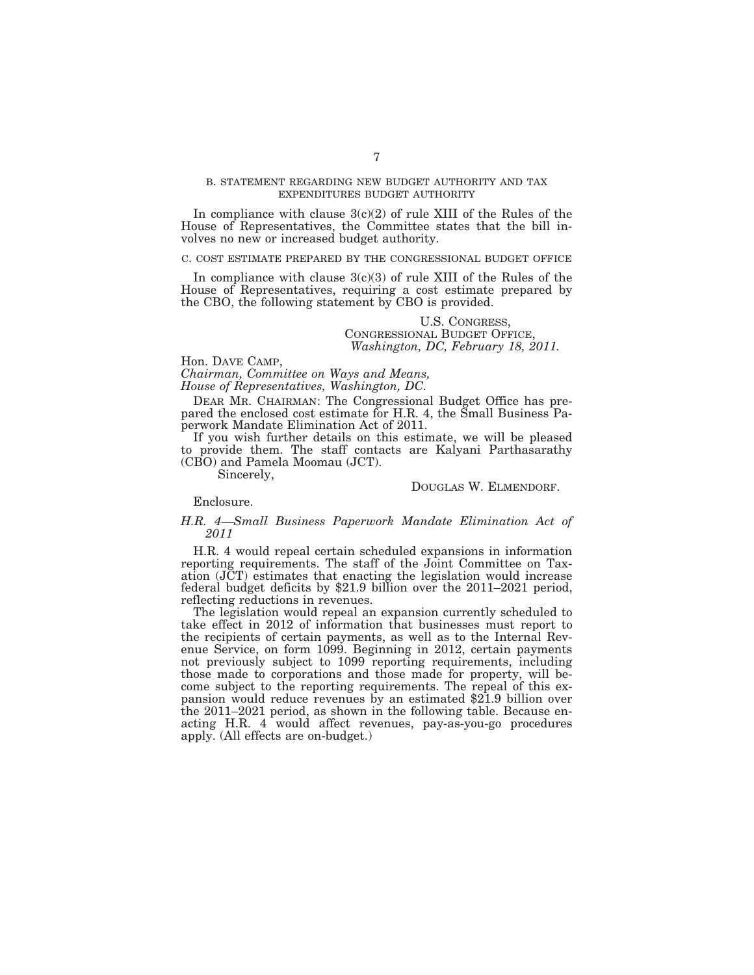### B. STATEMENT REGARDING NEW BUDGET AUTHORITY AND TAX EXPENDITURES BUDGET AUTHORITY

In compliance with clause  $3(c)(2)$  of rule XIII of the Rules of the House of Representatives, the Committee states that the bill involves no new or increased budget authority.

#### C. COST ESTIMATE PREPARED BY THE CONGRESSIONAL BUDGET OFFICE

In compliance with clause  $3(c)(3)$  of rule XIII of the Rules of the House of Representatives, requiring a cost estimate prepared by the CBO, the following statement by CBO is provided.

### U.S. CONGRESS, CONGRESSIONAL BUDGET OFFICE, *Washington, DC, February 18, 2011.*

Hon. DAVE CAMP, *Chairman, Committee on Ways and Means, House of Representatives, Washington, DC.* 

DEAR MR. CHAIRMAN: The Congressional Budget Office has prepared the enclosed cost estimate for H.R. 4, the Small Business Paperwork Mandate Elimination Act of 2011.

If you wish further details on this estimate, we will be pleased to provide them. The staff contacts are Kalyani Parthasarathy (CBO) and Pamela Moomau (JCT).

Sincerely,

### DOUGLAS W. ELMENDORF.

Enclosure.

### *H.R. 4—Small Business Paperwork Mandate Elimination Act of 2011*

H.R. 4 would repeal certain scheduled expansions in information reporting requirements. The staff of the Joint Committee on Taxation (JCT) estimates that enacting the legislation would increase federal budget deficits by \$21.9 billion over the 2011–2021 period, reflecting reductions in revenues.

The legislation would repeal an expansion currently scheduled to take effect in 2012 of information that businesses must report to the recipients of certain payments, as well as to the Internal Revenue Service, on form 1099. Beginning in 2012, certain payments not previously subject to 1099 reporting requirements, including those made to corporations and those made for property, will become subject to the reporting requirements. The repeal of this expansion would reduce revenues by an estimated \$21.9 billion over the 2011–2021 period, as shown in the following table. Because enacting H.R. 4 would affect revenues, pay-as-you-go procedures apply. (All effects are on-budget.)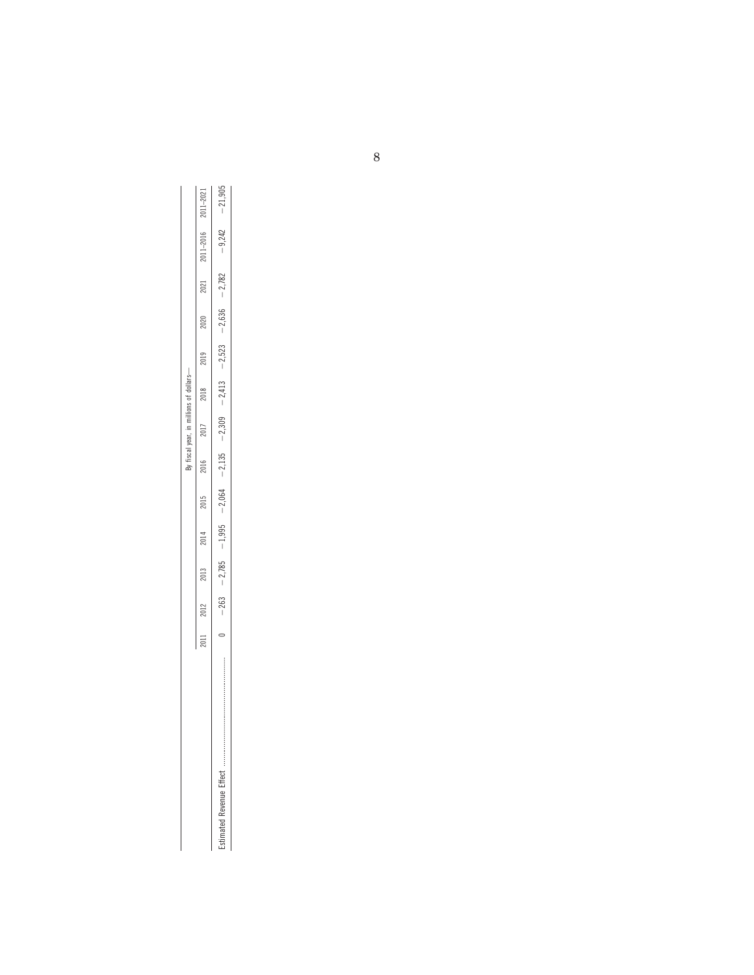|                                                          |     |        |          |          |          | fiscal vear |          |          |          |          |          |              |              |
|----------------------------------------------------------|-----|--------|----------|----------|----------|-------------|----------|----------|----------|----------|----------|--------------|--------------|
|                                                          | 201 | 2012   | 2013     | 2014     | 2015     | 2016        | 2017     | 2018     | 2019     | 2020     | 2021     | $011 - 2016$ | $011 - 202i$ |
| 医皮肤病 医皮肤病 医皮肤病 医血管切除术 医血管切除术 医血管切除术 医血管切除术 医血管切除术 医血管切除术 |     | $-263$ | $-2,785$ | $-1,995$ | $-2,064$ | $-2,135$    | $-2,309$ | $-2,413$ | $-2,523$ | $-2,636$ | $-2,782$ | $-9,242$     | 21,905       |
|                                                          |     |        |          |          |          |             |          |          |          |          |          |              |              |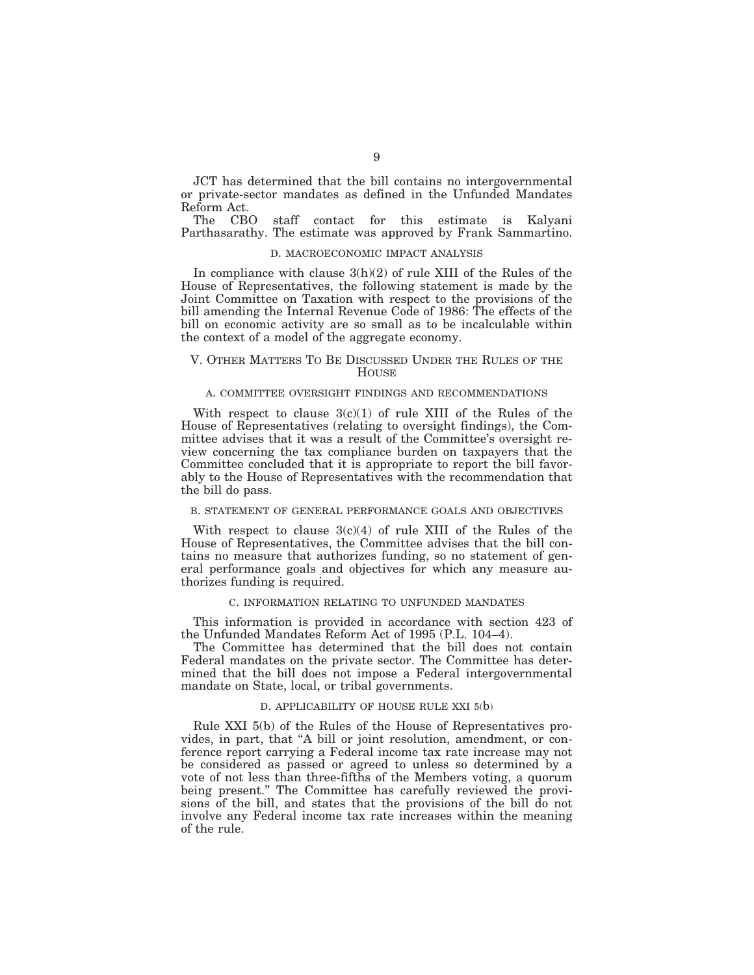JCT has determined that the bill contains no intergovernmental or private-sector mandates as defined in the Unfunded Mandates Reform Act.

The CBO staff contact for this estimate is Kalyani Parthasarathy. The estimate was approved by Frank Sammartino.

### D. MACROECONOMIC IMPACT ANALYSIS

In compliance with clause 3(h)(2) of rule XIII of the Rules of the House of Representatives, the following statement is made by the Joint Committee on Taxation with respect to the provisions of the bill amending the Internal Revenue Code of 1986: The effects of the bill on economic activity are so small as to be incalculable within the context of a model of the aggregate economy.

### V. OTHER MATTERS TO BE DISCUSSED UNDER THE RULES OF THE **HOUSE**

### A. COMMITTEE OVERSIGHT FINDINGS AND RECOMMENDATIONS

With respect to clause  $3(c)(1)$  of rule XIII of the Rules of the House of Representatives (relating to oversight findings), the Committee advises that it was a result of the Committee's oversight review concerning the tax compliance burden on taxpayers that the Committee concluded that it is appropriate to report the bill favorably to the House of Representatives with the recommendation that the bill do pass.

#### B. STATEMENT OF GENERAL PERFORMANCE GOALS AND OBJECTIVES

With respect to clause  $3(c)(4)$  of rule XIII of the Rules of the House of Representatives, the Committee advises that the bill contains no measure that authorizes funding, so no statement of general performance goals and objectives for which any measure authorizes funding is required.

### C. INFORMATION RELATING TO UNFUNDED MANDATES

This information is provided in accordance with section 423 of the Unfunded Mandates Reform Act of 1995 (P.L. 104–4).

The Committee has determined that the bill does not contain Federal mandates on the private sector. The Committee has determined that the bill does not impose a Federal intergovernmental mandate on State, local, or tribal governments.

#### D. APPLICABILITY OF HOUSE RULE XXI 5(b)

Rule XXI 5(b) of the Rules of the House of Representatives provides, in part, that ''A bill or joint resolution, amendment, or conference report carrying a Federal income tax rate increase may not be considered as passed or agreed to unless so determined by a vote of not less than three-fifths of the Members voting, a quorum being present.'' The Committee has carefully reviewed the provisions of the bill, and states that the provisions of the bill do not involve any Federal income tax rate increases within the meaning of the rule.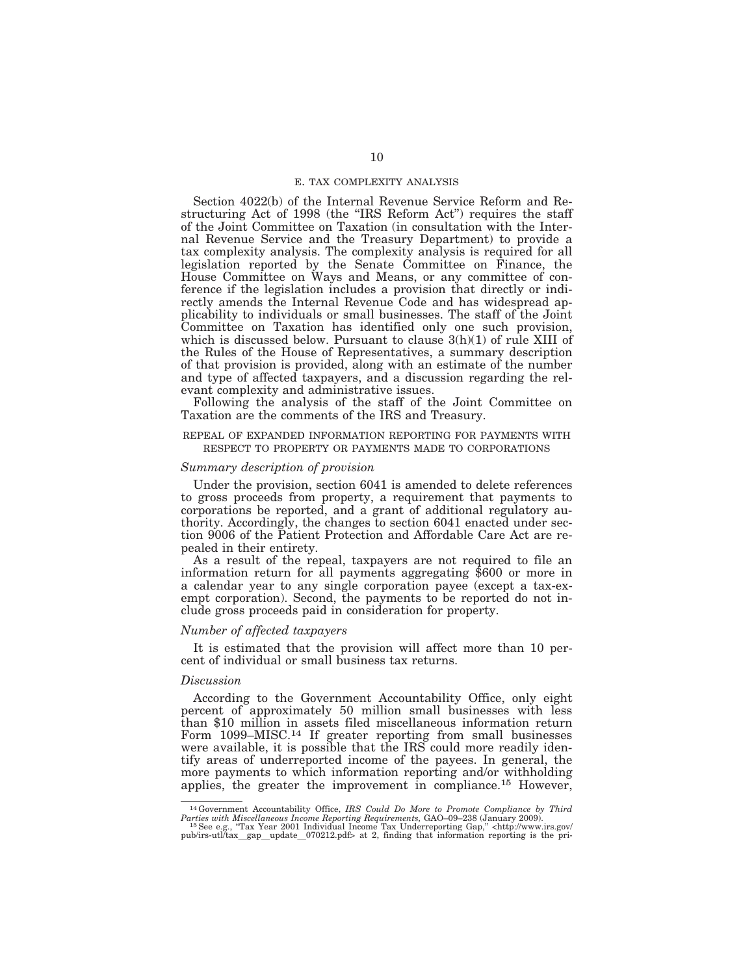#### E. TAX COMPLEXITY ANALYSIS

Section 4022(b) of the Internal Revenue Service Reform and Restructuring Act of 1998 (the "IRS Reform Act") requires the staff of the Joint Committee on Taxation (in consultation with the Internal Revenue Service and the Treasury Department) to provide a tax complexity analysis. The complexity analysis is required for all legislation reported by the Senate Committee on Finance, the House Committee on Ways and Means, or any committee of conference if the legislation includes a provision that directly or indirectly amends the Internal Revenue Code and has widespread applicability to individuals or small businesses. The staff of the Joint Committee on Taxation has identified only one such provision, which is discussed below. Pursuant to clause  $3(h)(1)$  of rule XIII of the Rules of the House of Representatives, a summary description of that provision is provided, along with an estimate of the number and type of affected taxpayers, and a discussion regarding the relevant complexity and administrative issues.

Following the analysis of the staff of the Joint Committee on Taxation are the comments of the IRS and Treasury.

#### REPEAL OF EXPANDED INFORMATION REPORTING FOR PAYMENTS WITH RESPECT TO PROPERTY OR PAYMENTS MADE TO CORPORATIONS

### *Summary description of provision*

Under the provision, section 6041 is amended to delete references to gross proceeds from property, a requirement that payments to corporations be reported, and a grant of additional regulatory authority. Accordingly, the changes to section 6041 enacted under section 9006 of the Patient Protection and Affordable Care Act are repealed in their entirety.

As a result of the repeal, taxpayers are not required to file an information return for all payments aggregating \$600 or more in a calendar year to any single corporation payee (except a tax-exempt corporation). Second, the payments to be reported do not include gross proceeds paid in consideration for property.

### *Number of affected taxpayers*

It is estimated that the provision will affect more than 10 percent of individual or small business tax returns.

#### *Discussion*

According to the Government Accountability Office, only eight percent of approximately 50 million small businesses with less than \$10 million in assets filed miscellaneous information return Form 1099–MISC.14 If greater reporting from small businesses were available, it is possible that the IRS could more readily identify areas of underreported income of the payees. In general, the more payments to which information reporting and/or withholding applies, the greater the improvement in compliance.15 However,

<sup>&</sup>lt;sup>14</sup> Government Accountability Office, *IRS Could Do More to Promote Compliance by Third*<br>*Parties with Missellaneous Income Reporting Requirements*, GAO-09-238 (January 2009).<br><sup>15</sup> See e.g., "Tax Year 2001 Individual Inc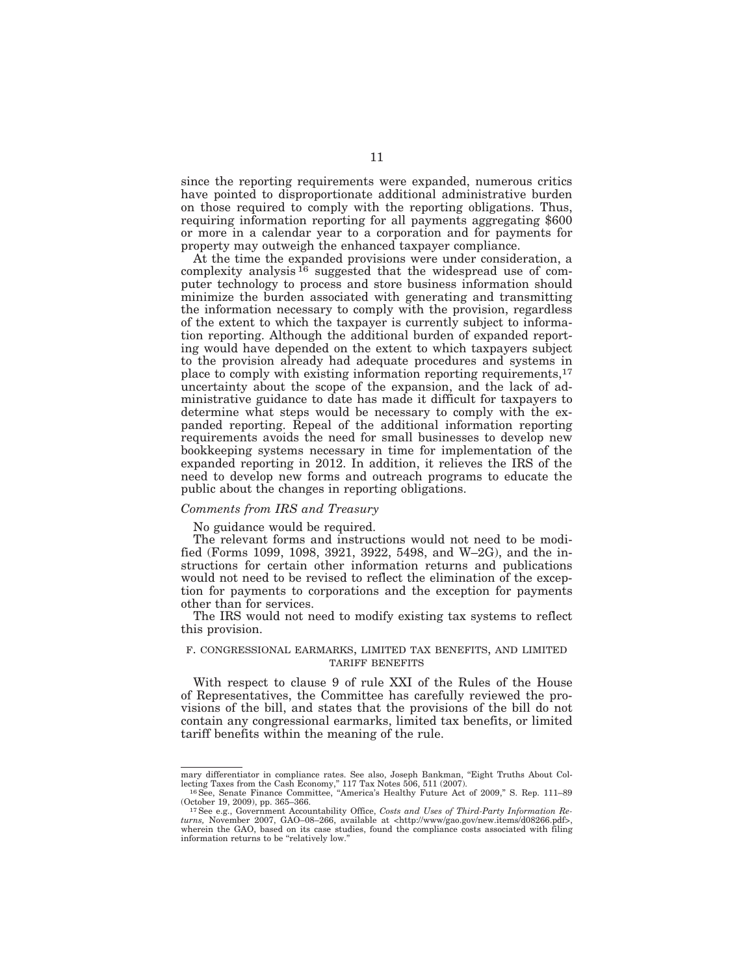since the reporting requirements were expanded, numerous critics have pointed to disproportionate additional administrative burden on those required to comply with the reporting obligations. Thus, requiring information reporting for all payments aggregating \$600 or more in a calendar year to a corporation and for payments for property may outweigh the enhanced taxpayer compliance.

At the time the expanded provisions were under consideration, a complexity analysis  $^{16}$  suggested that the widespread use of computer technology to process and store business information should minimize the burden associated with generating and transmitting the information necessary to comply with the provision, regardless of the extent to which the taxpayer is currently subject to information reporting. Although the additional burden of expanded reporting would have depended on the extent to which taxpayers subject to the provision already had adequate procedures and systems in place to comply with existing information reporting requirements,17 uncertainty about the scope of the expansion, and the lack of administrative guidance to date has made it difficult for taxpayers to determine what steps would be necessary to comply with the expanded reporting. Repeal of the additional information reporting requirements avoids the need for small businesses to develop new bookkeeping systems necessary in time for implementation of the expanded reporting in 2012. In addition, it relieves the IRS of the need to develop new forms and outreach programs to educate the public about the changes in reporting obligations.

#### *Comments from IRS and Treasury*

No guidance would be required.

The relevant forms and instructions would not need to be modified (Forms 1099, 1098, 3921, 3922, 5498, and W–2G), and the instructions for certain other information returns and publications would not need to be revised to reflect the elimination of the exception for payments to corporations and the exception for payments other than for services.

The IRS would not need to modify existing tax systems to reflect this provision.

### F. CONGRESSIONAL EARMARKS, LIMITED TAX BENEFITS, AND LIMITED TARIFF BENEFITS

With respect to clause 9 of rule XXI of the Rules of the House of Representatives, the Committee has carefully reviewed the provisions of the bill, and states that the provisions of the bill do not contain any congressional earmarks, limited tax benefits, or limited tariff benefits within the meaning of the rule.

mary differentiator in compliance rates. See also, Joseph Bankman, "Eight Truths About Collecting Taxes from the Cash Economy," 117 Tax Notes 506, 511 (2007).<br><sup>16</sup> See, Senate Finance Committee, "America's Healthy Future A

<sup>(</sup>October 19, 2009), pp. 365–366. 17See e.g., Government Accountability Office, *Costs and Uses of Third-Party Information Re-*

*turns,* November 2007, GAO–08–266, available at <http://www/gao.gov/new.items/d08266.pdf>, wherein the GAO, based on its case studies, found the compliance costs associated with filing information returns to be "relatively low."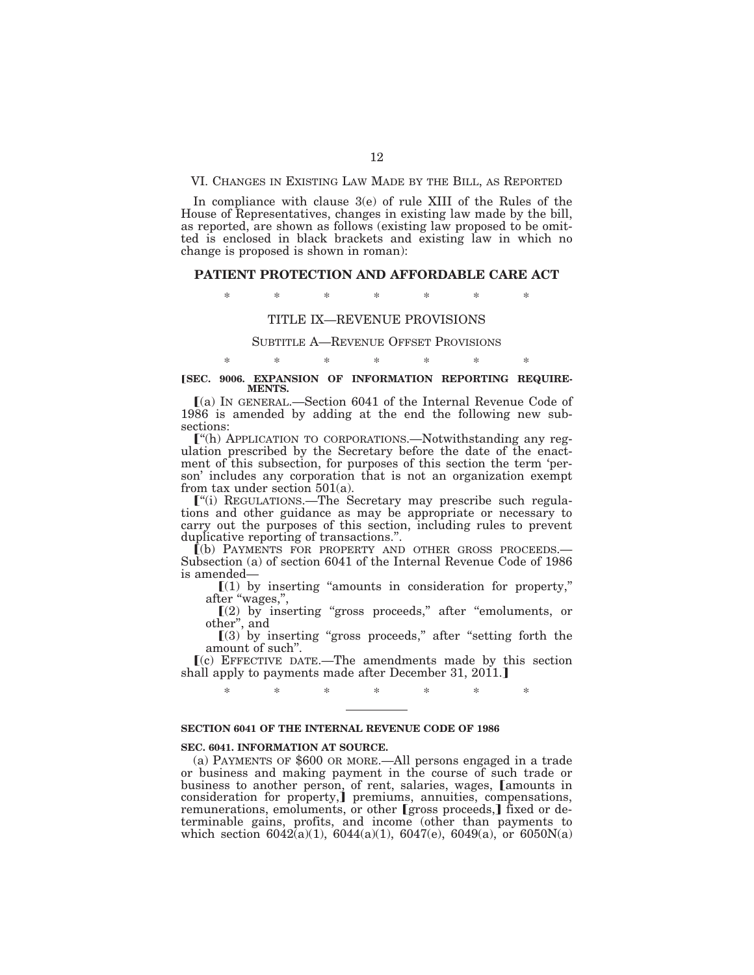#### VI. CHANGES IN EXISTING LAW MADE BY THE BILL, AS REPORTED

In compliance with clause 3(e) of rule XIII of the Rules of the House of Representatives, changes in existing law made by the bill, as reported, are shown as follows (existing law proposed to be omitted is enclosed in black brackets and existing law in which no change is proposed is shown in roman):

#### **PATIENT PROTECTION AND AFFORDABLE CARE ACT**

\* \* \* \* \* \* \*

## TITLE IX—REVENUE PROVISIONS

#### SUBTITLE A—REVENUE OFFSET PROVISIONS

### \* \* \* \* \* \* \* **[SEC. 9006. EXPANSION OF INFORMATION REPORTING REQUIRE-MENTS.**

ø(a) IN GENERAL.—Section 6041 of the Internal Revenue Code of 1986 is amended by adding at the end the following new subsections:

ø''(h) APPLICATION TO CORPORATIONS.—Notwithstanding any regulation prescribed by the Secretary before the date of the enactment of this subsection, for purposes of this section the term 'person' includes any corporation that is not an organization exempt from tax under section 501(a).

<sup>"(i)</sup> REGULATIONS.—The Secretary may prescribe such regulations and other guidance as may be appropriate or necessary to carry out the purposes of this section, including rules to prevent duplicative reporting of transactions.''.

ø(b) PAYMENTS FOR PROPERTY AND OTHER GROSS PROCEEDS.— Subsection (a) of section 6041 of the Internal Revenue Code of 1986 is amended—

 $(1)$  by inserting "amounts in consideration for property," after ''wages,'',

 $[(2)$  by inserting "gross proceeds," after "emoluments, or other'', and

 $(3)$  by inserting "gross proceeds," after "setting forth the amount of such''.

 $(c)$  EFFECTIVE DATE.—The amendments made by this section shall apply to payments made after December 31, 2011.

\* \* \* \* \* \* \*

### **SECTION 6041 OF THE INTERNAL REVENUE CODE OF 1986**

#### **SEC. 6041. INFORMATION AT SOURCE.**

(a) PAYMENTS OF \$600 OR MORE.—All persons engaged in a trade or business and making payment in the course of such trade or business to another person, of rent, salaries, wages, [amounts in consideration for property,<sup>j</sup> premiums, annuities, compensations, remunerations, emoluments, or other [gross proceeds,] fixed or determinable gains, profits, and income (other than payments to which section  $6042(a)(1)$ ,  $6044(a)(1)$ ,  $6047(e)$ ,  $6049(a)$ , or  $6050N(a)$